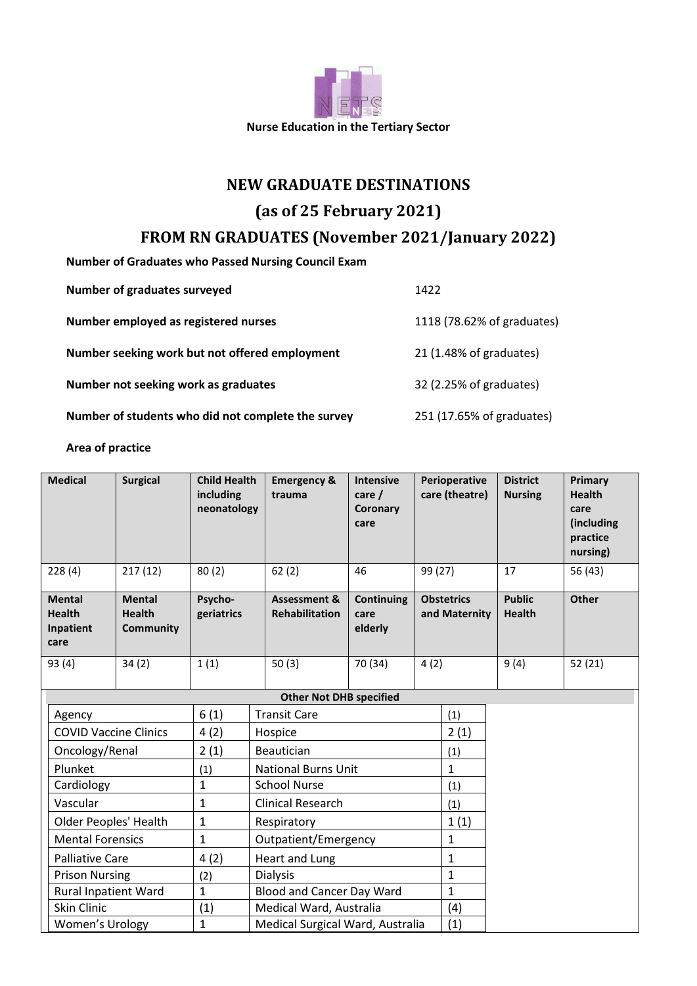

## **NEW GRADUATE DESTINATIONS**

# **(as of 25 February 2021)**

# **FROM RN GRADUATES (November 2021/January 2022)**

**Number of Graduates who Passed Nursing Council Exam**

| Number of graduates surveyed                       | 1422                       |
|----------------------------------------------------|----------------------------|
| Number employed as registered nurses               | 1118 (78.62% of graduates) |
| Number seeking work but not offered employment     | 21 (1.48% of graduates)    |
| Number not seeking work as graduates               | 32 (2.25% of graduates)    |
| Number of students who did not complete the survey | 251 (17.65% of graduates)  |

#### **Area of practice**

| <b>Medical</b>                                      | <b>Surgical</b>                                    | <b>Child Health</b><br>including<br>neonatology |                                  | <b>Emergency &amp;</b><br>trauma                 | <b>Intensive</b><br>care $/$<br>Coronary<br>care | Perioperative<br>care (theatre)    |              | <b>District</b><br><b>Nursing</b> | Primary<br><b>Health</b><br>care<br>(including<br>practice<br>nursing) |
|-----------------------------------------------------|----------------------------------------------------|-------------------------------------------------|----------------------------------|--------------------------------------------------|--------------------------------------------------|------------------------------------|--------------|-----------------------------------|------------------------------------------------------------------------|
| 228(4)                                              | 217(12)                                            | 80(2)                                           |                                  | 62(2)                                            | 46                                               | 99 (27)                            |              | 17                                | 56 (43)                                                                |
| <b>Mental</b><br><b>Health</b><br>Inpatient<br>care | <b>Mental</b><br><b>Health</b><br><b>Community</b> | Psycho-<br>geriatrics                           |                                  | <b>Assessment &amp;</b><br><b>Rehabilitation</b> | Continuing<br>care<br>elderly                    | <b>Obstetrics</b><br>and Maternity |              | <b>Public</b><br><b>Health</b>    | Other                                                                  |
| 93 (4)                                              | 34(2)                                              | 1(1)                                            |                                  | 50(3)                                            | 70 (34)                                          | 4(2)                               |              | 9(4)                              | 52(21)                                                                 |
| <b>Other Not DHB specified</b>                      |                                                    |                                                 |                                  |                                                  |                                                  |                                    |              |                                   |                                                                        |
| Agency                                              |                                                    | 6(1)                                            | <b>Transit Care</b>              |                                                  |                                                  | (1)                                |              |                                   |                                                                        |
| <b>COVID Vaccine Clinics</b>                        |                                                    | 4(2)                                            | Hospice                          |                                                  |                                                  |                                    | 2(1)         |                                   |                                                                        |
| Oncology/Renal                                      |                                                    | 2(1)                                            | Beautician                       |                                                  |                                                  |                                    | (1)          |                                   |                                                                        |
| Plunket                                             |                                                    | (1)                                             | <b>National Burns Unit</b>       |                                                  |                                                  | $\mathbf{1}$                       |              |                                   |                                                                        |
| Cardiology                                          |                                                    | $\mathbf{1}$                                    | <b>School Nurse</b>              |                                                  |                                                  |                                    | (1)          |                                   |                                                                        |
| Vascular                                            |                                                    | $\mathbf{1}$                                    | <b>Clinical Research</b>         |                                                  |                                                  | (1)                                |              |                                   |                                                                        |
| <b>Older Peoples' Health</b>                        |                                                    | $\mathbf{1}$                                    | Respiratory                      |                                                  |                                                  |                                    | 1(1)         |                                   |                                                                        |
| <b>Mental Forensics</b><br>$\mathbf{1}$             |                                                    |                                                 | Outpatient/Emergency             |                                                  |                                                  |                                    | $\mathbf{1}$ |                                   |                                                                        |
| 4(2)<br><b>Palliative Care</b>                      |                                                    | Heart and Lung                                  |                                  |                                                  | 1                                                |                                    |              |                                   |                                                                        |
| <b>Prison Nursing</b>                               |                                                    | (2)                                             | <b>Dialysis</b>                  |                                                  |                                                  |                                    | $\mathbf{1}$ |                                   |                                                                        |
| Rural Inpatient Ward                                |                                                    | $\mathbf{1}$                                    | <b>Blood and Cancer Day Ward</b> |                                                  |                                                  | $\mathbf{1}$                       |              |                                   |                                                                        |
| <b>Skin Clinic</b>                                  |                                                    | (1)                                             | Medical Ward, Australia          |                                                  |                                                  |                                    | (4)          |                                   |                                                                        |
| Women's Urology                                     |                                                    | $\mathbf{1}$                                    | Medical Surgical Ward, Australia |                                                  |                                                  |                                    | (1)          |                                   |                                                                        |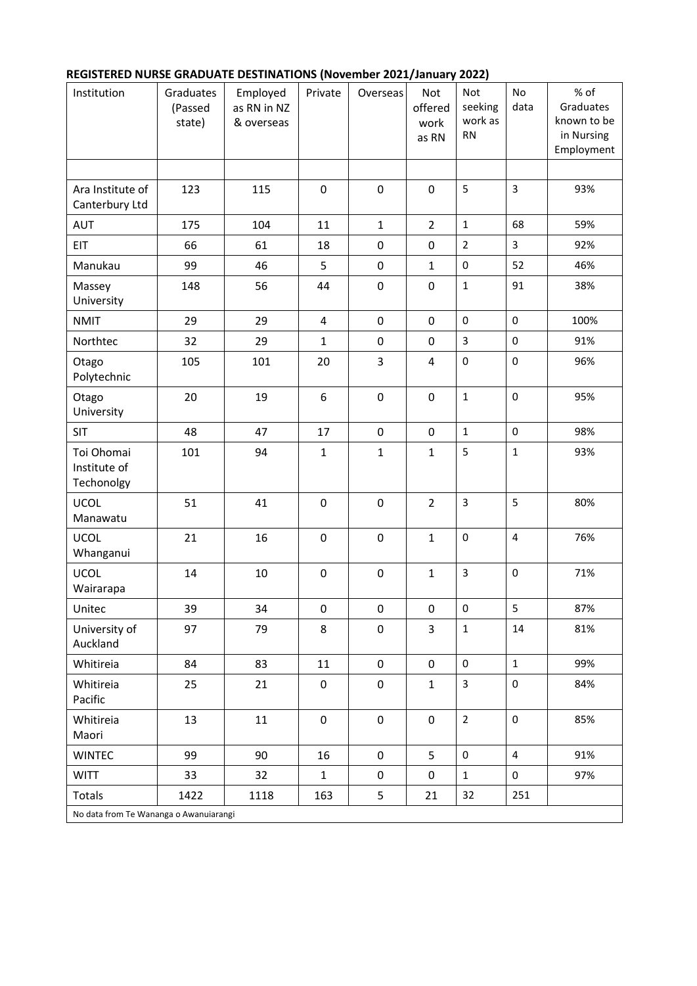## **REGISTERED NURSE GRADUATE DESTINATIONS (November 2021/January 2022)**

| Institution                              | Graduates<br>(Passed<br>state) | Employed<br>as RN in NZ<br>& overseas | Private        | Overseas     | Not<br>offered<br>work<br>as RN | Not<br>seeking<br>work as<br><b>RN</b> | No<br>data              | % of<br>Graduates<br>known to be<br>in Nursing<br>Employment |  |  |
|------------------------------------------|--------------------------------|---------------------------------------|----------------|--------------|---------------------------------|----------------------------------------|-------------------------|--------------------------------------------------------------|--|--|
|                                          |                                |                                       |                |              |                                 |                                        |                         |                                                              |  |  |
| Ara Institute of<br>Canterbury Ltd       | 123                            | 115                                   | $\mathbf 0$    | $\pmb{0}$    | $\mathbf 0$                     | 5                                      | 3                       | 93%                                                          |  |  |
| <b>AUT</b>                               | 175                            | 104                                   | 11             | $\mathbf 1$  | $\overline{2}$                  | $\mathbf{1}$                           | 68                      | 59%                                                          |  |  |
| EIT                                      | 66                             | 61                                    | 18             | $\pmb{0}$    | $\mathbf 0$                     | $\overline{2}$                         | 3                       | 92%                                                          |  |  |
| Manukau                                  | 99                             | 46                                    | 5              | $\pmb{0}$    | $\mathbf{1}$                    | $\pmb{0}$                              | 52                      | 46%                                                          |  |  |
| Massey<br>University                     | 148                            | 56                                    | 44             | $\mathbf 0$  | $\mathbf 0$                     | $\mathbf{1}$                           | 91                      | 38%                                                          |  |  |
| <b>NMIT</b>                              | 29                             | 29                                    | $\overline{4}$ | $\mathbf 0$  | $\mathbf 0$                     | $\pmb{0}$                              | $\pmb{0}$               | 100%                                                         |  |  |
| Northtec                                 | 32                             | 29                                    | $\mathbf{1}$   | $\pmb{0}$    | $\mathbf 0$                     | $\mathbf{3}$                           | $\pmb{0}$               | 91%                                                          |  |  |
| Otago<br>Polytechnic                     | 105                            | 101                                   | 20             | 3            | $\overline{4}$                  | $\pmb{0}$                              | $\pmb{0}$               | 96%                                                          |  |  |
| Otago<br>University                      | 20                             | 19                                    | 6              | $\mathbf 0$  | $\mathbf 0$                     | $\mathbf{1}$                           | $\mathbf 0$             | 95%                                                          |  |  |
| SIT                                      | 48                             | 47                                    | 17             | $\pmb{0}$    | $\mathbf 0$                     | $\mathbf{1}$                           | $\mathbf 0$             | 98%                                                          |  |  |
| Toi Ohomai<br>Institute of<br>Techonolgy | 101                            | 94                                    | $\mathbf{1}$   | $\mathbf{1}$ | $\mathbf{1}$                    | 5                                      | $\mathbf 1$             | 93%                                                          |  |  |
| <b>UCOL</b><br>Manawatu                  | 51                             | 41                                    | $\pmb{0}$      | $\mathbf 0$  | $\overline{2}$                  | $\mathbf{3}$                           | 5                       | 80%                                                          |  |  |
| <b>UCOL</b><br>Whanganui                 | 21                             | 16                                    | $\mathbf 0$    | $\mathbf 0$  | $\mathbf{1}$                    | $\pmb{0}$                              | $\overline{\mathbf{4}}$ | 76%                                                          |  |  |
| <b>UCOL</b><br>Wairarapa                 | 14                             | 10                                    | $\pmb{0}$      | $\pmb{0}$    | $\mathbf{1}$                    | $\overline{3}$                         | $\pmb{0}$               | 71%                                                          |  |  |
| Unitec                                   | 39                             | 34                                    | 0              | $\mathbf 0$  | $\mathbf 0$                     | $\mathsf{O}\xspace$                    | 5                       | 87%                                                          |  |  |
| University of<br>Auckland                | 97                             | 79                                    | 8              | $\pmb{0}$    | $\overline{3}$                  | $\mathbf 1$                            | 14                      | 81%                                                          |  |  |
| Whitireia                                | 84                             | 83                                    | 11             | $\pmb{0}$    | $\mathbf 0$                     | $\mathbf 0$                            | $\mathbf{1}$            | 99%                                                          |  |  |
| Whitireia<br>Pacific                     | 25                             | 21                                    | $\pmb{0}$      | $\pmb{0}$    | $\mathbf{1}$                    | $\mathbf{3}$                           | $\pmb{0}$               | 84%                                                          |  |  |
| Whitireia<br>Maori                       | 13                             | $11\,$                                | $\pmb{0}$      | $\pmb{0}$    | $\mathsf{O}\xspace$             | $\overline{2}$                         | $\pmb{0}$               | 85%                                                          |  |  |
| <b>WINTEC</b>                            | 99                             | 90                                    | 16             | $\mathbf 0$  | 5                               | $\mathbf 0$                            | $\overline{4}$          | 91%                                                          |  |  |
| <b>WITT</b>                              | 33                             | 32                                    | $\mathbf{1}$   | $\pmb{0}$    | $\mathbf 0$                     | $\mathbf{1}$                           | $\mathsf{O}\xspace$     | 97%                                                          |  |  |
| Totals                                   | 1422                           | 1118                                  | 163            | 5            | 21                              | 32                                     | 251                     |                                                              |  |  |
| No data from Te Wananga o Awanuiarangi   |                                |                                       |                |              |                                 |                                        |                         |                                                              |  |  |